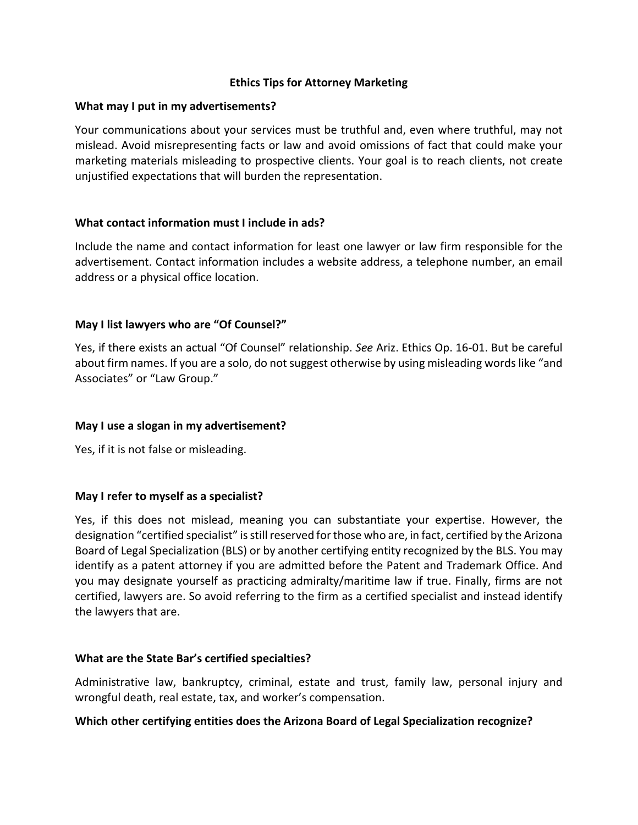#### **Ethics Tips for Attorney Marketing**

#### **What may I put in my advertisements?**

Your communications about your services must be truthful and, even where truthful, may not mislead. Avoid misrepresenting facts or law and avoid omissions of fact that could make your marketing materials misleading to prospective clients. Your goal is to reach clients, not create unjustified expectations that will burden the representation.

### **What contact information must I include in ads?**

Include the name and contact information for least one lawyer or law firm responsible for the advertisement. Contact information includes a website address, a telephone number, an email address or a physical office location.

### **May I list lawyers who are "Of Counsel?"**

Yes, if there exists an actual "Of Counsel" relationship. *See* Ariz. Ethics Op. 16-01. But be careful about firm names. If you are a solo, do not suggest otherwise by using misleading words like "and Associates" or "Law Group."

#### **May I use a slogan in my advertisement?**

Yes, if it is not false or misleading.

#### **May I refer to myself as a specialist?**

Yes, if this does not mislead, meaning you can substantiate your expertise. However, the designation "certified specialist" is still reserved for those who are, in fact, certified by the Arizona Board of Legal Specialization (BLS) or by another certifying entity recognized by the BLS. You may identify as a patent attorney if you are admitted before the Patent and Trademark Office. And you may designate yourself as practicing admiralty/maritime law if true. Finally, firms are not certified, lawyers are. So avoid referring to the firm as a certified specialist and instead identify the lawyers that are.

#### **What are the State Bar's certified specialties?**

Administrative law, bankruptcy, criminal, estate and trust, family law, personal injury and wrongful death, real estate, tax, and worker's compensation.

#### **Which other certifying entities does the Arizona Board of Legal Specialization recognize?**